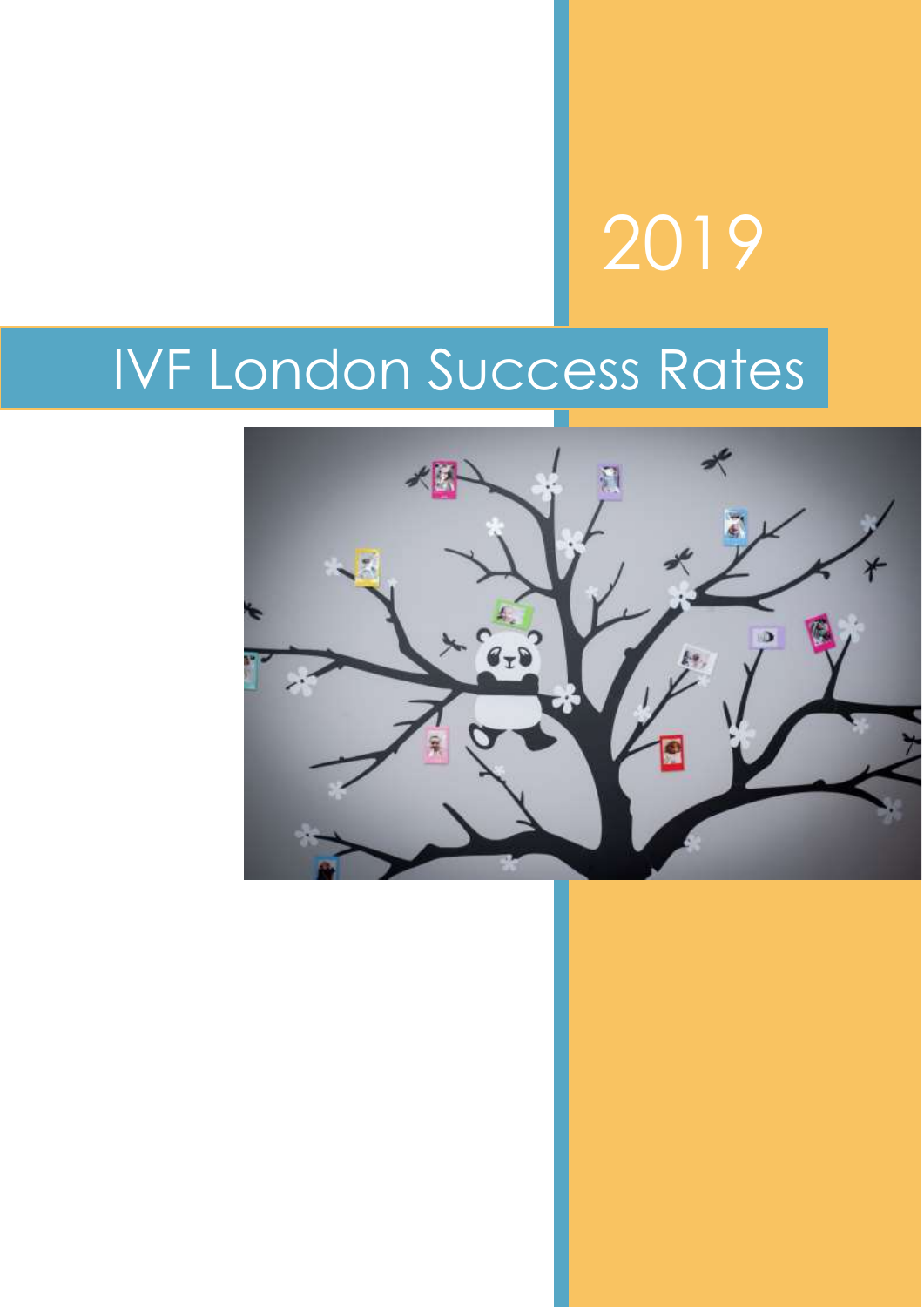## 2019

## IVF London Success Rates

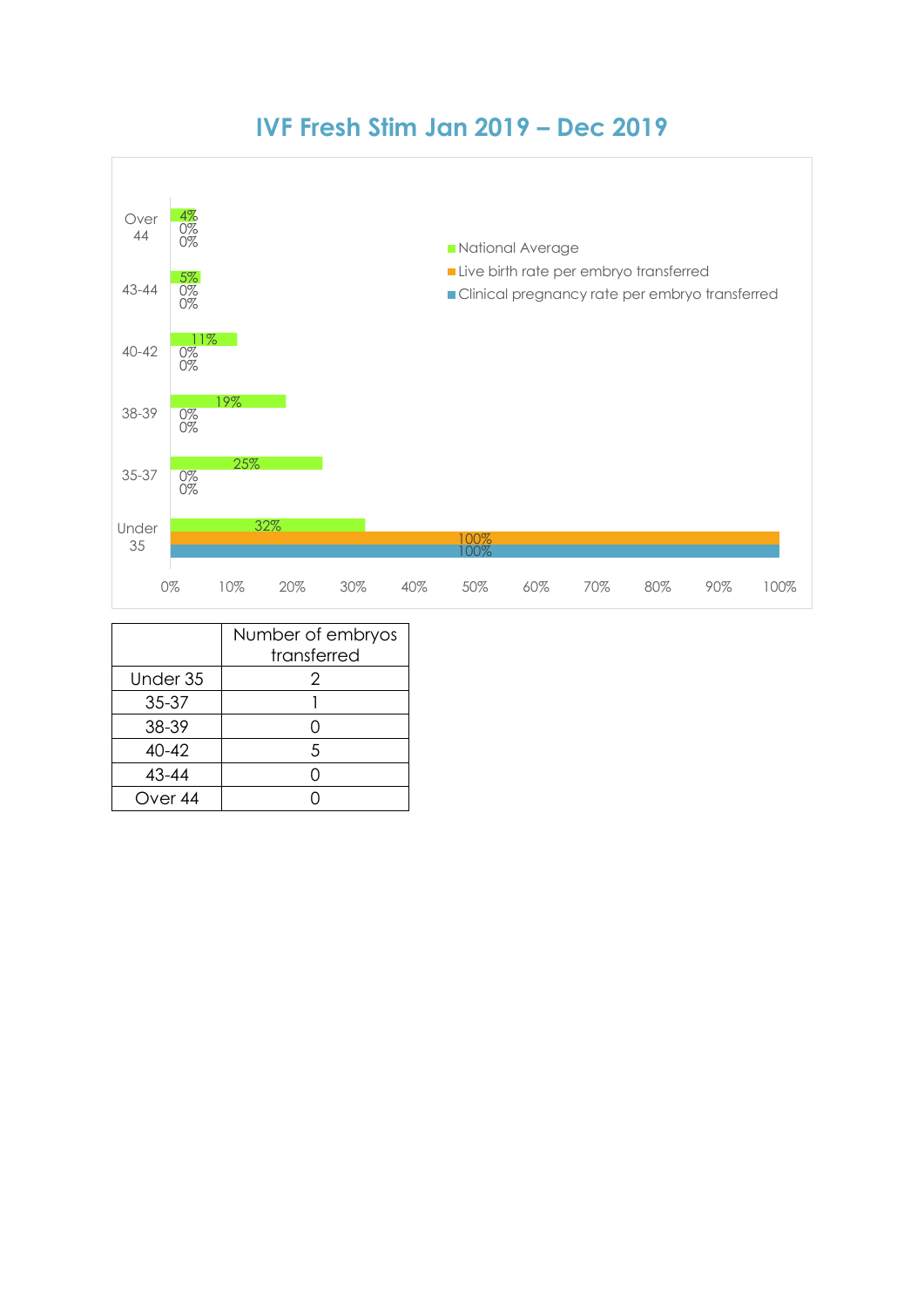

|                    | Number of embryos<br>transferred |
|--------------------|----------------------------------|
| Under 35           | 2                                |
| 35-37              |                                  |
| 38-39              |                                  |
| $40 - 42$          | 5                                |
| 43-44              |                                  |
| Over <sub>44</sub> |                                  |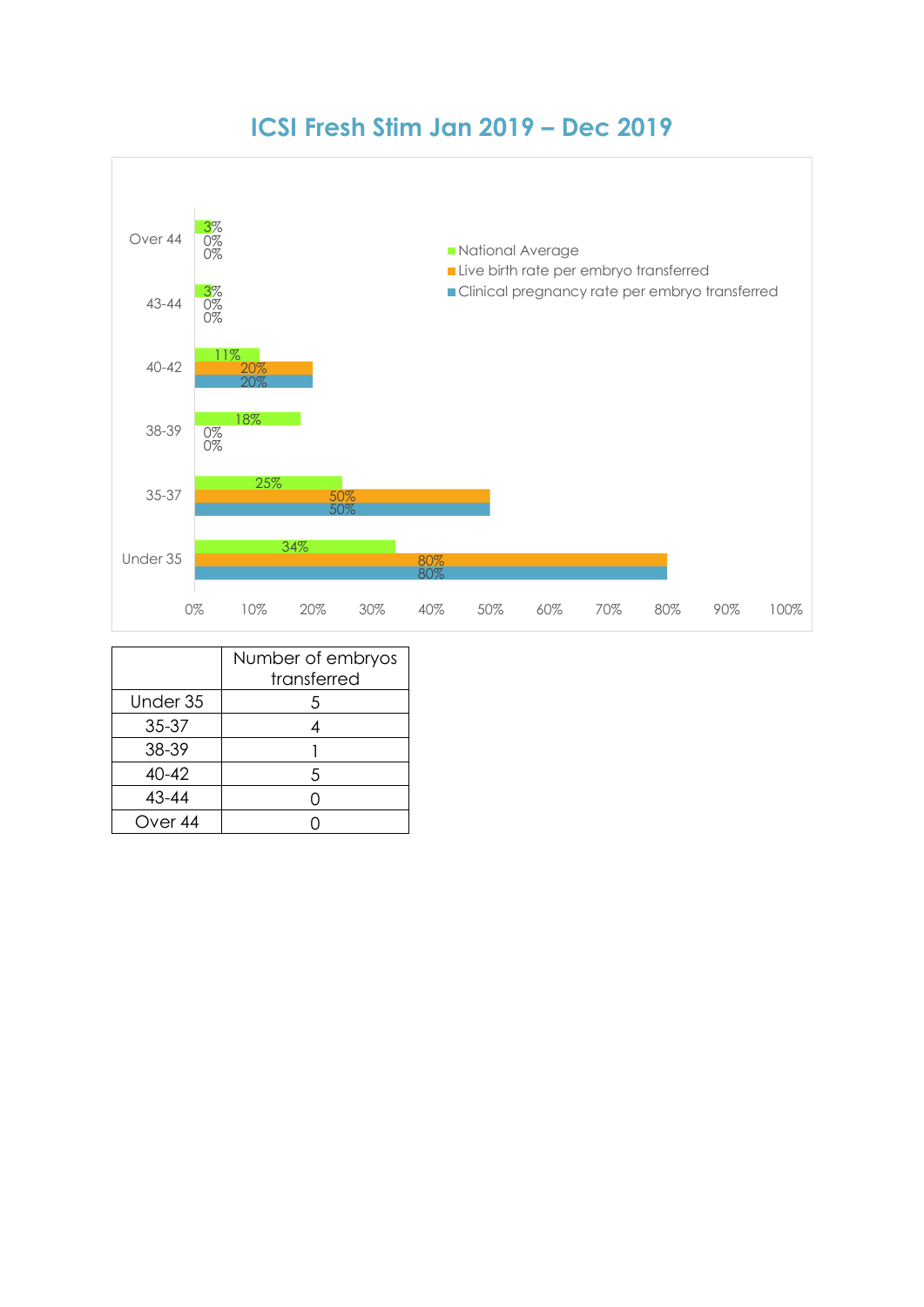

| ICSI Fresh Stim Jan 2019 - Dec 2019 |  |  |  |
|-------------------------------------|--|--|--|
|                                     |  |  |  |

|                    | Number of embryos |  |  |
|--------------------|-------------------|--|--|
|                    | transferred       |  |  |
| Under 35           | 5                 |  |  |
| 35-37              |                   |  |  |
| 38-39              |                   |  |  |
| $40 - 42$          | 5                 |  |  |
| 43-44              |                   |  |  |
| Over <sub>44</sub> |                   |  |  |